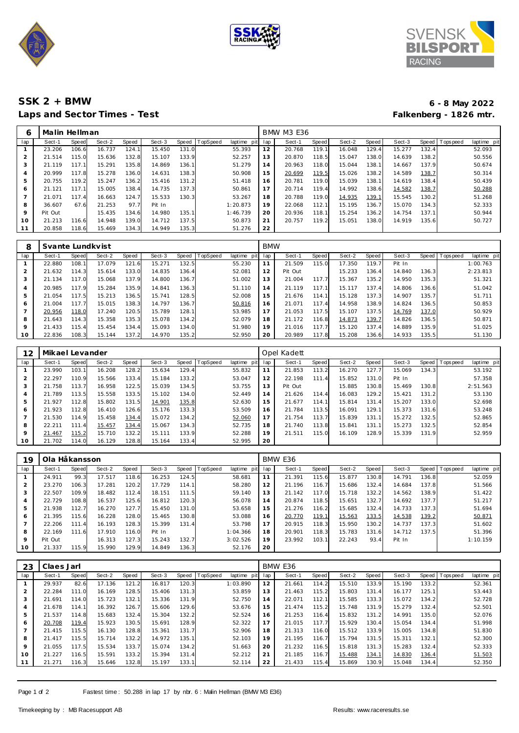





## **SSK 2 + BMW 6 - 8 May 2022** Laps and Sector Times - Test

| 6              | Malin Hellman |       |        |       |        |       |          |             | <b>BMW M3 E36</b> |        |       |        |       |        |       |           |             |
|----------------|---------------|-------|--------|-------|--------|-------|----------|-------------|-------------------|--------|-------|--------|-------|--------|-------|-----------|-------------|
| lap            | Sect-1        | Speed | Sect-2 | Speed | Sect-3 | Speed | TopSpeed | laptime pit | lap               | Sect-1 | Speed | Sect-2 | Speed | Sect-3 | Speed | Tops peed | laptime pit |
|                | 23.206        | 106.6 | 16.737 | 124.1 | 15.450 | 131.0 |          | 55.393      | 12                | 20.768 | 119.1 | 16.048 | 129.4 | 15.277 | 132.4 |           | 52.093      |
| 2              | 21.514        | 115.0 | 15.636 | 132.8 | 15.107 | 133.9 |          | 52.257      | 13                | 20.870 | 118.5 | 15.047 | 138.0 | 14.639 | 138.2 |           | 50.556      |
| 3              | 21.119        | 117.1 | 15.291 | 135.8 | 14.869 | 136.1 |          | 51.279      | 14                | 20.963 | 118.0 | 15.044 | 138.1 | 14.667 | 137.9 |           | 50.674      |
| 4              | 20.999        | 117.8 | 15.278 | 136.0 | 14.631 | 138.3 |          | 50.908      | 15                | 20.699 | 119.5 | 15.026 | 138.2 | 14.589 | 138.7 |           | 50.314      |
| 5              | 20.755        | 119.2 | 15.247 | 136.2 | 15.416 | 131.2 |          | 51.418      | 16                | 20.781 | 119.0 | 15.039 | 138.1 | 14.619 | 138.4 |           | 50.439      |
| 6              | 21.121        | 117.1 | 15.005 | 138.4 | 14.735 | 137.3 |          | 50.861      | 17                | 20.714 | 119.4 | 14.992 | 138.6 | 14.582 | 138.7 |           | 50.288      |
| $\overline{ }$ | 21.071        | 117.4 | 16.663 | 124.7 | 15.533 | 130.3 |          | 53.267      | 18                | 20.788 | 119.0 | 14.935 | 139.1 | 15.545 | 130.2 |           | 51.268      |
| 8              | 36.607        | 67.6  | 21.253 | 97.7  | Pit In |       |          | 1:20.873    | 19                | 22.068 | 112.1 | 15.195 | 136.7 | 15.070 | 134.3 |           | 52.333      |
| 9              | Pit Out       |       | 15.435 | 134.6 | 14.980 | 135.1 |          | 1:46.739    | 20                | 20.936 | 118.1 | 15.254 | 136.2 | 14.754 | 137.1 |           | 50.944      |
| 10             | 21.213        | 116.6 | 14.948 | 139.0 | 14.712 | 137.5 |          | 50.873      | 21                | 20.757 | 119.2 | 15.051 | 138.0 | 14.919 | 135.6 |           | 50.727      |
|                | 20.858        | 118.6 | 15.469 | 134.3 | 14.949 | 135.3 |          | 51.276      | 22                |        |       |        |       |        |       |           |             |

| 8       | Svante Lundkvist |              |        |       |        |           |                 |             | <b>BMW</b> |         |       |        |       |        |       |                |             |  |
|---------|------------------|--------------|--------|-------|--------|-----------|-----------------|-------------|------------|---------|-------|--------|-------|--------|-------|----------------|-------------|--|
| lap     | Sect-1           | <b>Speed</b> | Sect-2 | Speed | Sect-3 | Speed   T | <b>TopSpeed</b> | laptime pit | lap        | Sect-1  | Speed | Sect-2 | Speed | Sect-3 |       | Speed Topspeed | laptime pit |  |
|         | 22.880           | 108.1        | 17.079 | 121.6 | 15.271 | 132.5     |                 | 55.230      |            | 21.509  | 115.0 | 17.350 | 119.7 | Pit In |       |                | 1:00.763    |  |
|         | 21.632           | 114.3        | 15.614 | 133.0 | 14.835 | 136.4     |                 | 52.081      | 12         | Pit Out |       | 15.233 | 136.4 | 14.840 | 136.3 |                | 2:23.813    |  |
|         | 21.134           | 117.0        | 15.068 | 137.9 | 14.800 | 136.7     |                 | 51.002      | 13         | 21.004  | 117.7 | 15.367 | 135.2 | 14.950 | 135.3 |                | 51.321      |  |
| 4       | 20.985           | 117.9        | 15.284 | 135.9 | 14.841 | 136.3     |                 | 51.110      | 14         | 21.119  | 117.1 | 15.117 | 137.4 | 14.806 | 136.6 |                | 51.042      |  |
|         | 21.054           | 117.5        | 15.213 | 136.5 | 15.741 | 128.5     |                 | 52.008      | 15         | 21.676  | 114.1 | 15.128 | 137.3 | 14.907 | 135.7 |                | 51.711      |  |
| 6       | 21.004           | 117.71       | 15.015 | 138.3 | 14.797 | 136.7     |                 | 50.816      | 16         | 21.071  | 117.4 | 14.958 | 138.9 | 14.824 | 136.5 |                | 50.853      |  |
|         | 20.956           | 118.0        | 17.240 | 120.5 | 15.789 | 128.1     |                 | 53.985      | 17         | 21.053  | 117.5 | 15.107 | 137.5 | 14.769 | 137.0 |                | 50.929      |  |
| 8       | 21.643           | 114.3        | 15.358 | 135.3 | 15.078 | 134.2     |                 | 52.079      | 18         | 21.172  | 116.8 | 14.873 | 139.7 | 14.826 | 136.5 |                | 50.871      |  |
| $\circ$ | 21.433           | 115.4        | 15.454 | 134.4 | 15.093 | 134.0     |                 | 51.980      | 19         | 21.016  | 117.7 | 15.120 | 137.4 | 14.889 | 135.9 |                | 51.025      |  |
| 10      | 22.836           | 108.3        | 15.144 | 137.2 | 14.970 | 135.2     |                 | 52.950      | 20         | 20.989  | 117.8 | 15.208 | 136.6 | 14.933 | 135.5 |                | 51.130      |  |

| 12             | Mikael Levander |       |        |       |        |       |          |                 | Opel Kadett |         |       |        |       |        |       |                 |             |
|----------------|-----------------|-------|--------|-------|--------|-------|----------|-----------------|-------------|---------|-------|--------|-------|--------|-------|-----------------|-------------|
| lap            | Sect-1          | Speed | Sect-2 | Speed | Sect-3 | Speed | TopSpeed | laptime pit lap |             | Sect-1  | Speed | Sect-2 | Speed | Sect-3 |       | Speed Tops peed | laptime pit |
|                | 23.990          | 103.1 | 16.208 | 128.2 | 15.634 | 129.4 |          | 55.832          |             | 21.853  | 113.2 | 16.270 | 127.7 | 15.069 | 134.3 |                 | 53.192      |
| $\overline{2}$ | 22.297          | 110.9 | 15.566 | 133.4 | 15.184 | 133.2 |          | 53.047          | 12          | 22.198  | 111.4 | 15.852 | 131.0 | Pit In |       |                 | 57.358      |
| 3              | 21.758          | 113.7 | 16.958 | 122.5 | 15.039 | 134.5 |          | 53.755          | 13          | Pit Out |       | 15.885 | 130.8 | 15.469 | 130.8 |                 | 2:51.563    |
| 4              | 21.789          | 113.5 | 15.558 | 133.5 | 15.102 | 134.0 |          | 52.449          | 14          | 21.626  | 114.4 | 16.083 | 129.2 | 15.421 | 131.2 |                 | 53.130      |
| 5              | 21.927          | 112.8 | 15.802 | 131.5 | 14.901 | 135.8 |          | 52.630          | 15          | 21.677  | 114.1 | 15.814 | 131.4 | 15.207 | 133.0 |                 | 52.698      |
| 6              | 21.923          | 112.8 | 16.410 | 126.6 | 15.176 | 133.3 |          | 53.509          | 16          | 21.784  | 113.5 | 16.091 | 129.1 | 15.373 | 131.6 |                 | 53.248      |
|                | 21.530          | 114.9 | 15.458 | 134.4 | 15.072 | 134.2 |          | 52.060          | 17          | 21.754  | 113.7 | 15.839 | 131.1 | 15.272 | 132.5 |                 | 52.865      |
| 8              | 22.211          | 111.4 | 15.457 | 134.4 | 15.067 | 134.3 |          | 52.735          | 18          | 21.740  | 113.8 | 15.841 | 131.1 | 15.273 | 132.5 |                 | 52.854      |
| 9              | 21.467          | 115.2 | 15.710 | 132.2 | 15.111 | 133.9 |          | 52.288          | 19          | 21.511  | 115.0 | 16.109 | 128.9 | 15.339 | 131.9 |                 | 52.959      |
| 10             | 21.702          | 114.0 | 16.129 | 128.8 | 15.164 | 133.4 |          | 52.995          | 20          |         |       |        |       |        |       |                 |             |

| 19      | Ola Håkansson |                       |        |       |        |       |                 |                | BMW E36 |        |       |        |       |        |       |                 |             |  |
|---------|---------------|-----------------------|--------|-------|--------|-------|-----------------|----------------|---------|--------|-------|--------|-------|--------|-------|-----------------|-------------|--|
| lap     | Sect-1        | Speed                 | Sect-2 | Speed | Sect-3 | Speed | <b>TopSpeed</b> | laptime<br>pit | lap     | Sect-1 | Speed | Sect-2 | Speed | Sect-3 |       | Speed Tops peed | laptime pit |  |
|         | 24.911        | 99.3                  | 17.517 | 118.6 | 16.253 | 124.5 |                 | 58.681         | 11      | 21.391 | 115.6 | 15.877 | 130.8 | 14.791 | 136.8 |                 | 52.059      |  |
|         | 23.270        | 106.3                 | 17.281 | 120.2 | 17.729 | 114.1 |                 | 58.280         | 12      | 21.196 | 116.7 | 15.686 | 132.4 | 14.684 | 137.8 |                 | 51.566      |  |
| 3       | 22.507        | 109.9                 | 18.482 | 112.4 | 18.151 | 111.5 |                 | 59.140         | 13      | 21.142 | 117.0 | 15.718 | 132.2 | 14.562 | 138.9 |                 | 51.422      |  |
|         | 22.729        | 108.8                 | 16.537 | 125.6 | 16.812 | 120.3 |                 | 56.078         | 14      | 20.874 | 118.5 | 15.651 | 132.7 | 14.692 | 137.7 |                 | 51.217      |  |
|         | 21.938        | 112.7                 | 16.270 | 127.7 | 15.450 | 131.0 |                 | 53.658         | 15      | 21.276 | 116.2 | 15.685 | 132.4 | 14.733 | 137.3 |                 | 51.694      |  |
| 6       | 21.395        | 115.6                 | 16.228 | 128.0 | 15.465 | 130.8 |                 | 53.088         | 16      | 20.770 | 119.1 | 15.563 | 133.5 | 14.538 | 139.2 |                 | 50.871      |  |
|         | 22.206        | 111<br>$\overline{A}$ | 16.193 | 128.3 | 15.399 | 131.4 |                 | 53.798         | 17      | 20.915 | 118.3 | 15.950 | 130.2 | 14.737 | 137.3 |                 | 51.602      |  |
| 8       | 22.169        | 111<br>.61            | 17.910 | 116.0 | Pit In |       |                 | 1:04.366       | 18      | 20.901 | 118.3 | 15.783 | 131.6 | 14.712 | 137.5 |                 | 51.396      |  |
| $\circ$ | Pit Out       |                       | 16.313 | 127.3 | 15.243 | 132.7 |                 | 3:02.526       | 19      | 23.992 | 103.1 | 22.243 | 93.4  | Pit In |       |                 | 1:10.159    |  |
| 10      | 21.337        | 115.9                 | 15.990 | 129.9 | 14.849 | 136.3 |                 | 52.176         | 20      |        |       |        |       |        |       |                 |             |  |

| 23             | Claes Jarl |       |        |       |        |       |         |             | BMW E36 |        |       |        |       |        |       |           |             |  |
|----------------|------------|-------|--------|-------|--------|-------|---------|-------------|---------|--------|-------|--------|-------|--------|-------|-----------|-------------|--|
| lap            | Sect-1     | Speed | Sect-2 | Speed | Sect-3 | Speed | opSpeed | laptime pit | lap     | Sect-1 | Speed | Sect-2 | Speed | Sect-3 | Speed | Tops peed | laptime pit |  |
|                | 29.937     | 82.6  | 17.136 | 121.2 | 16.817 | 120.3 |         | 1:03.890    | 12      | 21.661 | 114.2 | 15.510 | 133.9 | 15.190 | 133.2 |           | 52.361      |  |
| $\overline{2}$ | 22.284     | 111.0 | 16.169 | 128.5 | 15.406 | 131.3 |         | 53.859      | 13      | 21.463 | 115.2 | 15.803 | 131.4 | 16.177 | 125.1 |           | 53.443      |  |
| 3              | 21.691     | 114.0 | 15.723 | 132.1 | 15.336 | 131.9 |         | 52.750      | 14      | 22.071 | 112.1 | 15.585 | 133.3 | 15.072 | 134.2 |           | 52.728      |  |
| 4              | 21.678     | 114.1 | 16.392 | 126.7 | 15.606 | 129.6 |         | 53.676      | 15      | 21.474 | 115.2 | 15.748 | 131.9 | 15.279 | 132.4 |           | 52.501      |  |
| 5              | 21.537     | 114.8 | 15.683 | 132.4 | 15.304 | 132.2 |         | 52.524      | 16      | 21.253 | 116.4 | 15.832 | 131.2 | 14.991 | 135.0 |           | 52.076      |  |
| 6              | 20.708     | 119.4 | 15.923 | 130.5 | 15.691 | 128.9 |         | 52.322      | 17      | 21.015 | 117.7 | 15.929 | 130.4 | 15.054 | 134.4 |           | 51.998      |  |
|                | 21.415     | 115.5 | 16.130 | 128.8 | 15.361 | 131.7 |         | 52.906      | 18      | 21.313 | 116.0 | 15.512 | 133.9 | 15.005 | 134.8 |           | 51.830      |  |
| 8              | 21.417     | 115.5 | 15.714 | 132.2 | 14.972 | 135.1 |         | 52.103      | 19      | 21.195 | 116.7 | 15.794 | 131.5 | 15.311 | 132.1 |           | 52.300      |  |
| $\circ$        | 21.055     | 117.5 | 15.534 | 133.7 | 15.074 | 134.2 |         | 51.663      | 20      | 21.232 | 116.5 | 15.818 | 131.3 | 15.283 | 132.4 |           | 52.333      |  |
| 10             | 21.227     | 116.5 | 15.591 | 133.2 | 15.394 | 131.4 |         | 52.212      | 21      | 21.185 | 116.7 | 15.488 | 134.1 | 14.830 | 136.4 |           | 51.503      |  |
| 11             | 21.271     | 116.3 | 15.646 | 132.8 | 15.197 | 133.1 |         | 52.114      | 22      | 21.433 | 115.4 | 15.869 | 130.9 | 15.048 | 134.4 |           | 52.350      |  |

Page 1 of 2 Fastest time : 50.288 in lap 17 by nbr. 6 : Malin Hellman (BMW M3 E36)